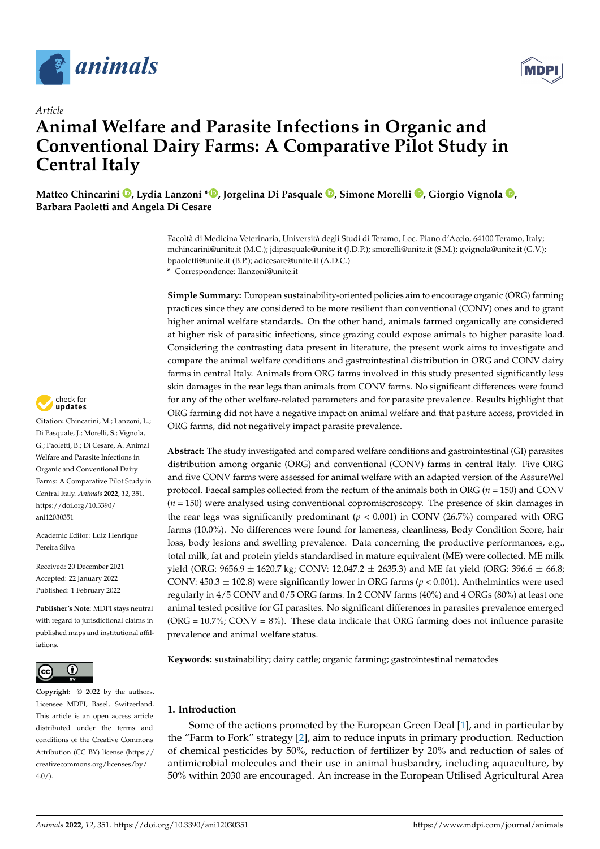

*Article*



# **Animal Welfare and Parasite Infections in Organic and Conventional Dairy Farms: A Comparative Pilot Study in Central Italy**

**Matteo Chincarini [,](https://orcid.org/0000-0001-6369-4992) Lydia Lanzoni [\\*](https://orcid.org/0000-0002-4488-4368) , Jorgelina Di Pasquale [,](https://orcid.org/0000-0001-6388-5756) Simone Morelli [,](https://orcid.org/0000-0001-6344-0239) Giorgio Vignola [,](https://orcid.org/0000-0002-6859-2351) Barbara Paoletti and Angela Di Cesare**

> Facoltà di Medicina Veterinaria, Università degli Studi di Teramo, Loc. Piano d'Accio, 64100 Teramo, Italy; mchincarini@unite.it (M.C.); jdipasquale@unite.it (J.D.P.); smorelli@unite.it (S.M.); gvignola@unite.it (G.V.); bpaoletti@unite.it (B.P.); adicesare@unite.it (A.D.C.)

**\*** Correspondence: llanzoni@unite.it

**Simple Summary:** European sustainability-oriented policies aim to encourage organic (ORG) farming practices since they are considered to be more resilient than conventional (CONV) ones and to grant higher animal welfare standards. On the other hand, animals farmed organically are considered at higher risk of parasitic infections, since grazing could expose animals to higher parasite load. Considering the contrasting data present in literature, the present work aims to investigate and compare the animal welfare conditions and gastrointestinal distribution in ORG and CONV dairy farms in central Italy. Animals from ORG farms involved in this study presented significantly less skin damages in the rear legs than animals from CONV farms. No significant differences were found for any of the other welfare-related parameters and for parasite prevalence. Results highlight that ORG farming did not have a negative impact on animal welfare and that pasture access, provided in ORG farms, did not negatively impact parasite prevalence.

**Abstract:** The study investigated and compared welfare conditions and gastrointestinal (GI) parasites distribution among organic (ORG) and conventional (CONV) farms in central Italy. Five ORG and five CONV farms were assessed for animal welfare with an adapted version of the AssureWel protocol. Faecal samples collected from the rectum of the animals both in ORG (*n* = 150) and CONV  $(n = 150)$  were analysed using conventional copromiscroscopy. The presence of skin damages in the rear legs was significantly predominant  $(p < 0.001)$  in CONV (26.7%) compared with ORG farms (10.0%). No differences were found for lameness, cleanliness, Body Condition Score, hair loss, body lesions and swelling prevalence. Data concerning the productive performances, e.g., total milk, fat and protein yields standardised in mature equivalent (ME) were collected. ME milk yield (ORG: 9656.9  $\pm$  1620.7 kg; CONV: 12,047.2  $\pm$  2635.3) and ME fat yield (ORG: 396.6  $\pm$  66.8; CONV:  $450.3 \pm 102.8$ ) were significantly lower in ORG farms ( $p < 0.001$ ). Anthelmintics were used regularly in 4/5 CONV and 0/5 ORG farms. In 2 CONV farms (40%) and 4 ORGs (80%) at least one animal tested positive for GI parasites. No significant differences in parasites prevalence emerged (ORG =  $10.7\%$ ; CONV =  $8\%$ ). These data indicate that ORG farming does not influence parasite prevalence and animal welfare status.

**Keywords:** sustainability; dairy cattle; organic farming; gastrointestinal nematodes

# **1. Introduction**

Some of the actions promoted by the European Green Deal [\[1\]](#page-9-0), and in particular by the "Farm to Fork" strategy [\[2\]](#page-9-1), aim to reduce inputs in primary production. Reduction of chemical pesticides by 50%, reduction of fertilizer by 20% and reduction of sales of antimicrobial molecules and their use in animal husbandry, including aquaculture, by 50% within 2030 are encouraged. An increase in the European Utilised Agricultural Area



**Citation:** Chincarini, M.; Lanzoni, L.; Di Pasquale, J.; Morelli, S.; Vignola, G.; Paoletti, B.; Di Cesare, A. Animal Welfare and Parasite Infections in Organic and Conventional Dairy Farms: A Comparative Pilot Study in Central Italy. *Animals* **2022**, *12*, 351. [https://doi.org/10.3390/](https://doi.org/10.3390/ani12030351) [ani12030351](https://doi.org/10.3390/ani12030351)

Academic Editor: Luiz Henrique Pereira Silva

Received: 20 December 2021 Accepted: 22 January 2022 Published: 1 February 2022

**Publisher's Note:** MDPI stays neutral with regard to jurisdictional claims in published maps and institutional affiliations.



**Copyright:** © 2022 by the authors. Licensee MDPI, Basel, Switzerland. This article is an open access article distributed under the terms and conditions of the Creative Commons Attribution (CC BY) license [\(https://](https://creativecommons.org/licenses/by/4.0/) [creativecommons.org/licenses/by/](https://creativecommons.org/licenses/by/4.0/)  $4.0/$ ).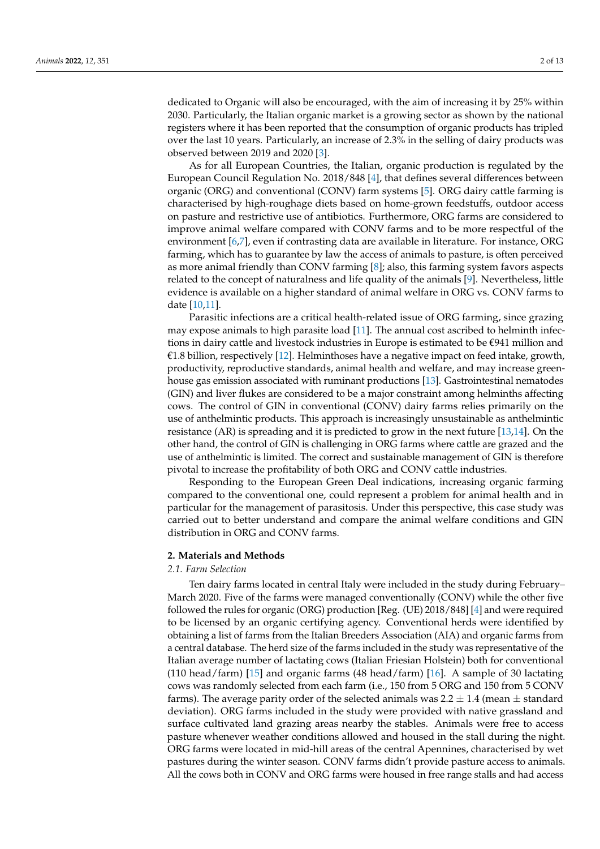dedicated to Organic will also be encouraged, with the aim of increasing it by 25% within 2030. Particularly, the Italian organic market is a growing sector as shown by the national registers where it has been reported that the consumption of organic products has tripled over the last 10 years. Particularly, an increase of 2.3% in the selling of dairy products was observed between 2019 and 2020 [\[3\]](#page-9-2).

As for all European Countries, the Italian, organic production is regulated by the European Council Regulation No. 2018/848 [\[4\]](#page-9-3), that defines several differences between organic (ORG) and conventional (CONV) farm systems [\[5\]](#page-9-4). ORG dairy cattle farming is characterised by high-roughage diets based on home-grown feedstuffs, outdoor access on pasture and restrictive use of antibiotics. Furthermore, ORG farms are considered to improve animal welfare compared with CONV farms and to be more respectful of the environment [\[6,](#page-9-5)[7\]](#page-9-6), even if contrasting data are available in literature. For instance, ORG farming, which has to guarantee by law the access of animals to pasture, is often perceived as more animal friendly than CONV farming [\[8\]](#page-9-7); also, this farming system favors aspects related to the concept of naturalness and life quality of the animals [\[9\]](#page-9-8). Nevertheless, little evidence is available on a higher standard of animal welfare in ORG vs. CONV farms to date [\[10,](#page-9-9)[11\]](#page-9-10).

Parasitic infections are a critical health-related issue of ORG farming, since grazing may expose animals to high parasite load [\[11\]](#page-9-10). The annual cost ascribed to helminth infections in dairy cattle and livestock industries in Europe is estimated to be €941 million and €1.8 billion, respectively [\[12\]](#page-9-11). Helminthoses have a negative impact on feed intake, growth, productivity, reproductive standards, animal health and welfare, and may increase greenhouse gas emission associated with ruminant productions [\[13\]](#page-9-12). Gastrointestinal nematodes (GIN) and liver flukes are considered to be a major constraint among helminths affecting cows. The control of GIN in conventional (CONV) dairy farms relies primarily on the use of anthelmintic products. This approach is increasingly unsustainable as anthelmintic resistance (AR) is spreading and it is predicted to grow in the next future [\[13](#page-9-12)[,14\]](#page-9-13). On the other hand, the control of GIN is challenging in ORG farms where cattle are grazed and the use of anthelmintic is limited. The correct and sustainable management of GIN is therefore pivotal to increase the profitability of both ORG and CONV cattle industries.

Responding to the European Green Deal indications, increasing organic farming compared to the conventional one, could represent a problem for animal health and in particular for the management of parasitosis. Under this perspective, this case study was carried out to better understand and compare the animal welfare conditions and GIN distribution in ORG and CONV farms.

## **2. Materials and Methods**

## *2.1. Farm Selection*

Ten dairy farms located in central Italy were included in the study during February– March 2020. Five of the farms were managed conventionally (CONV) while the other five followed the rules for organic (ORG) production [Reg. (UE) 2018/848] [\[4\]](#page-9-3) and were required to be licensed by an organic certifying agency. Conventional herds were identified by obtaining a list of farms from the Italian Breeders Association (AIA) and organic farms from a central database. The herd size of the farms included in the study was representative of the Italian average number of lactating cows (Italian Friesian Holstein) both for conventional (110 head/farm) [\[15\]](#page-9-14) and organic farms (48 head/farm) [\[16\]](#page-9-15). A sample of 30 lactating cows was randomly selected from each farm (i.e., 150 from 5 ORG and 150 from 5 CONV farms). The average parity order of the selected animals was  $2.2 \pm 1.4$  (mean  $\pm$  standard deviation). ORG farms included in the study were provided with native grassland and surface cultivated land grazing areas nearby the stables. Animals were free to access pasture whenever weather conditions allowed and housed in the stall during the night. ORG farms were located in mid-hill areas of the central Apennines, characterised by wet pastures during the winter season. CONV farms didn't provide pasture access to animals. All the cows both in CONV and ORG farms were housed in free range stalls and had access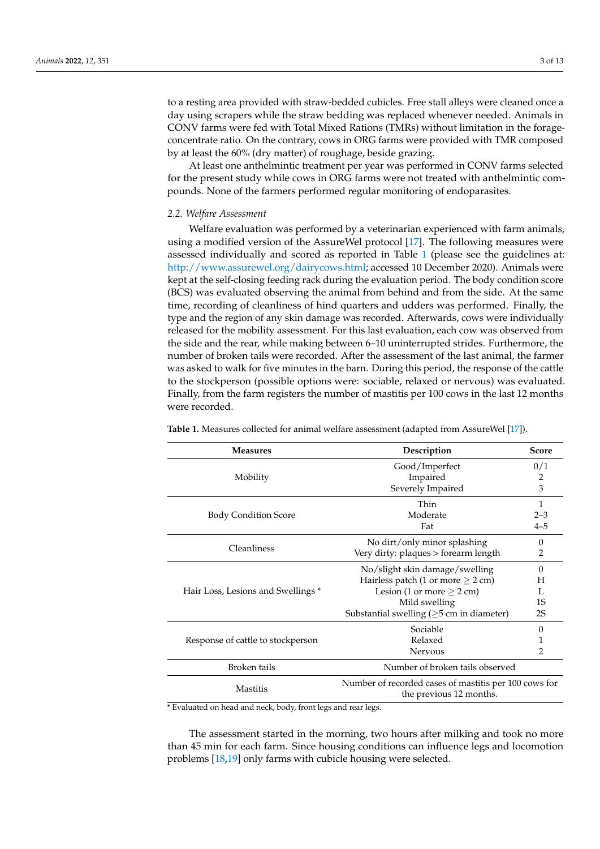to a resting area provided with straw-bedded cubicles. Free stall alleys were cleaned once a day using scrapers while the straw bedding was replaced whenever needed. Animals in CONV farms were fed with Total Mixed Rations (TMRs) without limitation in the forageconcentrate ratio. On the contrary, cows in ORG farms were provided with TMR composed by at least the 60% (dry matter) of roughage, beside grazing.

At least one anthelmintic treatment per year was performed in CONV farms selected for the present study while cows in ORG farms were not treated with anthelmintic compounds. None of the farmers performed regular monitoring of endoparasites.

## *2.2. Welfare Assessment*

Welfare evaluation was performed by a veterinarian experienced with farm animals, using a modified version of the AssureWel protocol [\[17\]](#page-9-16). The following measures were assessed individually and scored as reported in Table [1](#page-2-0) (please see the guidelines at: [http://www.assurewel.org/dairycows.html;](http://www.assurewel.org/dairycows.html) accessed 10 December 2020). Animals were kept at the self-closing feeding rack during the evaluation period. The body condition score (BCS) was evaluated observing the animal from behind and from the side. At the same time, recording of cleanliness of hind quarters and udders was performed. Finally, the type and the region of any skin damage was recorded. Afterwards, cows were individually released for the mobility assessment. For this last evaluation, each cow was observed from the side and the rear, while making between 6–10 uninterrupted strides. Furthermore, the number of broken tails were recorded. After the assessment of the last animal, the farmer was asked to walk for five minutes in the barn. During this period, the response of the cattle to the stockperson (possible options were: sociable, relaxed or nervous) was evaluated. Finally, from the farm registers the number of mastitis per 100 cows in the last 12 months were recorded.

| <b>Measures</b>                    | Description                                                                      | <b>Score</b> |  |
|------------------------------------|----------------------------------------------------------------------------------|--------------|--|
|                                    | Good/Imperfect                                                                   | 0/1          |  |
| Mobility                           | Impaired                                                                         | 2            |  |
|                                    | Severely Impaired                                                                | 3            |  |
|                                    | Thin                                                                             | $\mathbf{1}$ |  |
| <b>Body Condition Score</b>        | Moderate                                                                         | $2 - 3$      |  |
|                                    | Fat                                                                              | $4 - 5$      |  |
| Cleanliness                        | No dirt/only minor splashing                                                     | $\Omega$     |  |
|                                    | Very dirty: plaques > forearm length                                             | 2            |  |
|                                    | No/slight skin damage/swelling                                                   | $\Omega$     |  |
|                                    | Hairless patch (1 or more $\geq$ 2 cm)                                           | H            |  |
| Hair Loss, Lesions and Swellings * | Lesion (1 or more $\geq$ 2 cm)                                                   |              |  |
|                                    | Mild swelling                                                                    | 1S           |  |
|                                    | Substantial swelling $(\geq)5$ cm in diameter)                                   | 2S           |  |
| Response of cattle to stockperson  | Sociable                                                                         | $\Omega$     |  |
|                                    | Relaxed                                                                          |              |  |
|                                    | Nervous                                                                          | 2            |  |
| Broken tails                       | Number of broken tails observed                                                  |              |  |
| Mastitis                           | Number of recorded cases of mastitis per 100 cows for<br>the previous 12 months. |              |  |

<span id="page-2-0"></span>**Table 1.** Measures collected for animal welfare assessment (adapted from AssureWel [\[17\]](#page-9-16)).

\* Evaluated on head and neck, body, front legs and rear legs.

The assessment started in the morning, two hours after milking and took no more than 45 min for each farm. Since housing conditions can influence legs and locomotion problems [\[18,](#page-9-17)[19\]](#page-9-18) only farms with cubicle housing were selected.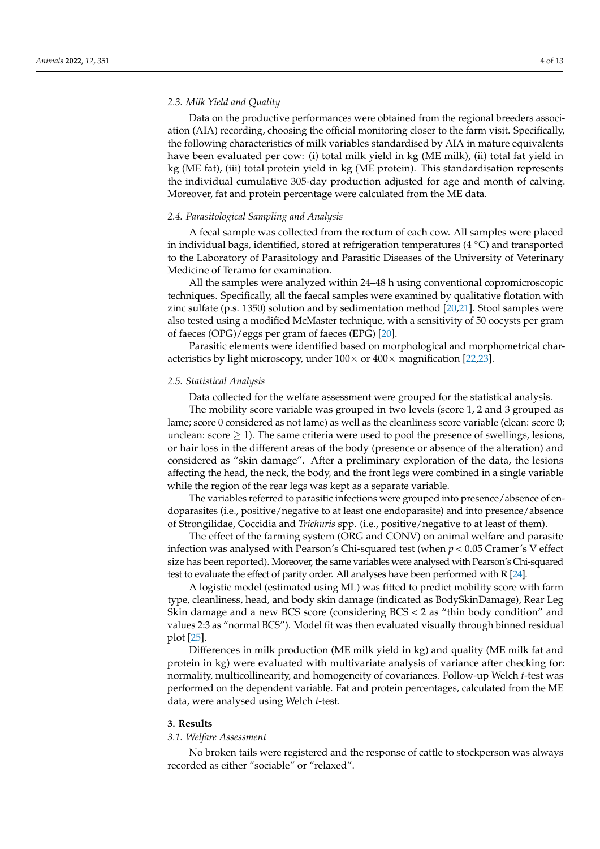Data on the productive performances were obtained from the regional breeders association (AIA) recording, choosing the official monitoring closer to the farm visit. Specifically, the following characteristics of milk variables standardised by AIA in mature equivalents have been evaluated per cow: (i) total milk yield in kg (ME milk), (ii) total fat yield in kg (ME fat), (iii) total protein yield in kg (ME protein). This standardisation represents the individual cumulative 305-day production adjusted for age and month of calving. Moreover, fat and protein percentage were calculated from the ME data.

## *2.4. Parasitological Sampling and Analysis*

A fecal sample was collected from the rectum of each cow. All samples were placed in individual bags, identified, stored at refrigeration temperatures  $(4\degree C)$  and transported to the Laboratory of Parasitology and Parasitic Diseases of the University of Veterinary Medicine of Teramo for examination.

All the samples were analyzed within 24–48 h using conventional copromicroscopic techniques. Specifically, all the faecal samples were examined by qualitative flotation with zinc sulfate (p.s. 1350) solution and by sedimentation method [\[20,](#page-9-19)[21\]](#page-9-20). Stool samples were also tested using a modified McMaster technique, with a sensitivity of 50 oocysts per gram of faeces (OPG)/eggs per gram of faeces (EPG) [\[20\]](#page-9-19).

Parasitic elements were identified based on morphological and morphometrical characteristics by light microscopy, under  $100 \times$  or  $400 \times$  magnification [\[22](#page-9-21)[,23\]](#page-9-22).

#### *2.5. Statistical Analysis*

Data collected for the welfare assessment were grouped for the statistical analysis.

The mobility score variable was grouped in two levels (score 1, 2 and 3 grouped as lame; score 0 considered as not lame) as well as the cleanliness score variable (clean: score 0; unclean: score  $\geq$  1). The same criteria were used to pool the presence of swellings, lesions, or hair loss in the different areas of the body (presence or absence of the alteration) and considered as "skin damage". After a preliminary exploration of the data, the lesions affecting the head, the neck, the body, and the front legs were combined in a single variable while the region of the rear legs was kept as a separate variable.

The variables referred to parasitic infections were grouped into presence/absence of endoparasites (i.e., positive/negative to at least one endoparasite) and into presence/absence of Strongilidae, Coccidia and *Trichuris* spp. (i.e., positive/negative to at least of them).

The effect of the farming system (ORG and CONV) on animal welfare and parasite infection was analysed with Pearson's Chi-squared test (when *p* < 0.05 Cramer's V effect size has been reported). Moreover, the same variables were analysed with Pearson's Chi-squared test to evaluate the effect of parity order. All analyses have been performed with R [\[24\]](#page-9-23).

A logistic model (estimated using ML) was fitted to predict mobility score with farm type, cleanliness, head, and body skin damage (indicated as BodySkinDamage), Rear Leg Skin damage and a new BCS score (considering BCS < 2 as "thin body condition" and values 2:3 as "normal BCS"). Model fit was then evaluated visually through binned residual plot [\[25\]](#page-9-24).

Differences in milk production (ME milk yield in kg) and quality (ME milk fat and protein in kg) were evaluated with multivariate analysis of variance after checking for: normality, multicollinearity, and homogeneity of covariances. Follow-up Welch *t*-test was performed on the dependent variable. Fat and protein percentages, calculated from the ME data, were analysed using Welch *t*-test.

## **3. Results**

## *3.1. Welfare Assessment*

No broken tails were registered and the response of cattle to stockperson was always recorded as either "sociable" or "relaxed".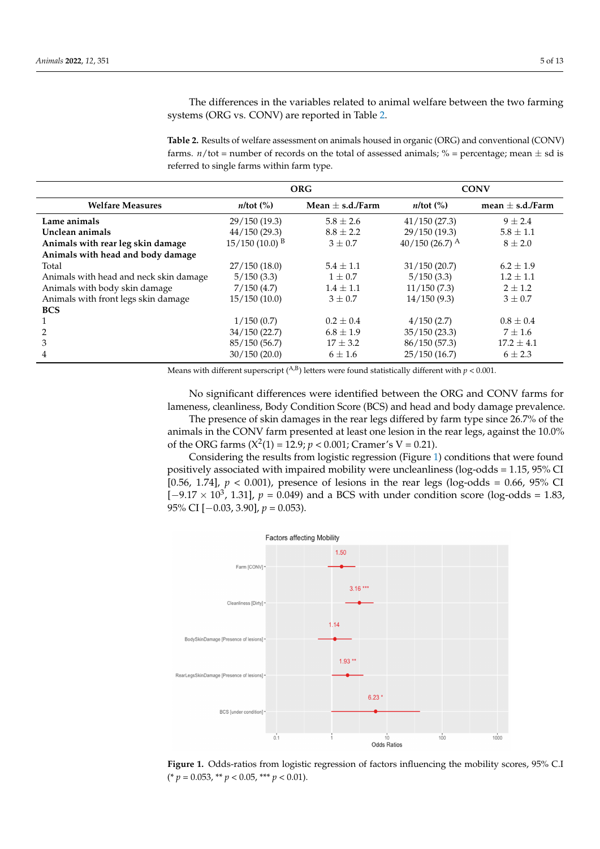The differences in the variables related to animal welfare between the two farming systems (ORG vs. CONV) are reported in Table [2.](#page-4-0)

<span id="page-4-0"></span>**Table 2.** Results of welfare assessment on animals housed in organic (ORG) and conventional (CONV) farms.  $n/tot$  = number of records on the total of assessed animals; % = percentage; mean  $\pm$  sd is referred to single farms within farm type.

|                                        | ORG                                 |                    | <b>CONV</b>                         |                      |
|----------------------------------------|-------------------------------------|--------------------|-------------------------------------|----------------------|
| <b>Welfare Measures</b>                | $n$ /tot $\left(\frac{9}{6}\right)$ | Mean $+$ s.d./Farm | $n$ /tot $\left(\frac{9}{6}\right)$ | mean $\pm$ s.d./Farm |
| Lame animals                           | 29/150(19.3)                        | $5.8 \pm 2.6$      | 41/150(27.3)                        | $9 + 2.4$            |
| Unclean animals                        | 44/150(29.3)                        | $8.8 \pm 2.2$      | 29/150 (19.3)                       | $5.8 \pm 1.1$        |
| Animals with rear leg skin damage      | $15/150(10.0)^{B}$                  | $3 + 0.7$          | $40/150$ (26.7) <sup>A</sup>        | $8 \pm 2.0$          |
| Animals with head and body damage      |                                     |                    |                                     |                      |
| Total                                  | 27/150(18.0)                        | $5.4 \pm 1.1$      | 31/150(20.7)                        | $6.2 + 1.9$          |
| Animals with head and neck skin damage | 5/150(3.3)                          | $1 \pm 0.7$        | 5/150(3.3)                          | $1.2 \pm 1.1$        |
| Animals with body skin damage          | 7/150(4.7)                          | $1.4 \pm 1.1$      | 11/150(7.3)                         | $2 + 1.2$            |
| Animals with front legs skin damage    | 15/150(10.0)                        | $3 + 0.7$          | 14/150(9.3)                         | $3 \pm 0.7$          |
| <b>BCS</b>                             |                                     |                    |                                     |                      |
|                                        | 1/150(0.7)                          | $0.2 \pm 0.4$      | 4/150(2.7)                          | $0.8 \pm 0.4$        |
|                                        | 34/150(22.7)                        | $6.8 \pm 1.9$      | 35/150(23.3)                        | $7 \pm 1.6$          |
| 3                                      | 85/150(56.7)                        | $17 + 3.2$         | 86/150 (57.3)                       | $17.2 + 4.1$         |
| 4                                      | 30/150(20.0)                        | $6 \pm 1.6$        | 25/150(16.7)                        | $6 \pm 2.3$          |

Means with different superscript  $(^{A,B})$  letters were found statistically different with  $p < 0.001$ .

No significant differences were identified between the ORG and CONV farms for lameness, cleanliness, Body Condition Score (BCS) and head and body damage prevalence. The presence of skin damages in the rear legs differed by farm type since 26.7% of the animals in the CONV farm presented at least one lesion in the rear legs, against the 10.0% of the ORG farms  $(X^2(1) = 12.9; p < 0.001;$  Cramer's V = 0.21).

Considering the results from logistic regression (Figure [1\)](#page-4-1) conditions that were found positively associated with impaired mobility were uncleanliness (log-odds = 1.15, 95% CI [0.56, 1.74],  $p < 0.001$ ), presence of lesions in the rear legs (log-odds = 0.66, 95% CI  $[-9.17 \times 10^3, 1.31]$ ,  $p = 0.049$ ) and a BCS with under condition score (log-odds = 1.83,  $95\%$  CI [ $-0.03$ ,  $3.90$ ],  $p = 0.053$ ).

<span id="page-4-1"></span>

Figure 1. Odds-ratios from logistic regression of factors influencing the mobility scores, 95% C.I  $\frac{6}{(25)}$  (\* *p* = 0.053, \*\* *p* < 0.05, \*\*\* *p* < 0.01).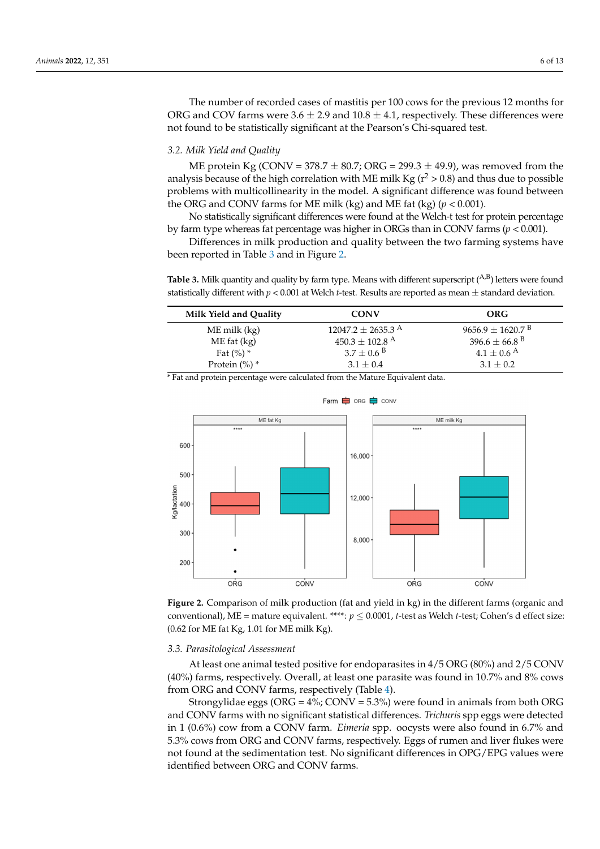The number of recorded cases of mastitis per 100 cows for the previous 12 months for ORG and COV farms were  $3.6 \pm 2.9$  and  $10.8 \pm 4.1$ , respectively. These differences were not found to be statistically significant at the Pearson's Chi-squared test.

## *3.2. Milk Yield and Quality*

ME protein Kg (CONV =  $378.7 \pm 80.7$ ; ORG =  $299.3 \pm 49.9$ ), was removed from the analysis because of the high correlation with ME milk Kg ( $r^2 > 0.8$ ) and thus due to possible problems with multicollinearity in the model. A significant difference was found between the ORG and CONV farms for ME milk (kg) and ME fat (kg)  $(p < 0.001)$ .

No statistically significant differences were found at the Welch-t test for protein percentage by farm type whereas fat percentage was higher in ORGs than in CONV farms (*p* < 0.001).

Differences in milk production and quality between the two farming systems have been reported in Table [3](#page-5-0) and in Figure [2.](#page-5-1)

<span id="page-5-0"></span>**Table 3.** Milk quantity and quality by farm type. Means with different superscript  $(^{A,B})$  letters were found statistically different with *p* < 0.001 at Welch *t*-test. Results are reported as mean ± standard deviation.

| Milk Yield and Quality | <b>CONV</b>                       | <b>ORG</b>                       |
|------------------------|-----------------------------------|----------------------------------|
| ME milk (kg)           | $12047.2 \pm 2635.3$ <sup>A</sup> | $9656.9 \pm 1620.7$ <sup>B</sup> |
| $ME$ fat $(kg)$        | $450.3\pm102.8$ $^{\rm A}$        | 396.6 $\pm$ 66.8 <sup>B</sup>    |
| Fat $(\%)$ *           | $3.7 \pm 0.6$ <sup>B</sup>        | $4.1 \pm 0.6$ <sup>A</sup>       |
| Protein $(\%)$ *       | $3.1 \pm 0.4$                     | $3.1 \pm 0.2$                    |

<span id="page-5-1"></span>\* Fat and protein percentage were calculated from the Mature Equivalent data.





#### *3.3. Parasitological Assessment*

At least one animal tested positive for endoparasites in 4/5 ORG (80%) and 2/5 CONV (40%) farms, respectively. Overall, at least one parasite was found in 10.7% and 8% cows from ORG and CONV farms, respectively (Table [4\)](#page-6-0).

Strongylidae eggs (ORG =  $4\%$ ; CONV = 5.3%) were found in animals from both ORG and CONV farms with no significant statistical differences. *Trichuris* spp eggs were detected in 1 (0.6%) cow from a CONV farm. *Eimeria* spp. oocysts were also found in 6.7% and 5.3% cows from ORG and CONV farms, respectively. Eggs of rumen and liver flukes were not found at the sedimentation test. No significant differences in OPG/EPG values were identified between ORG and CONV farms.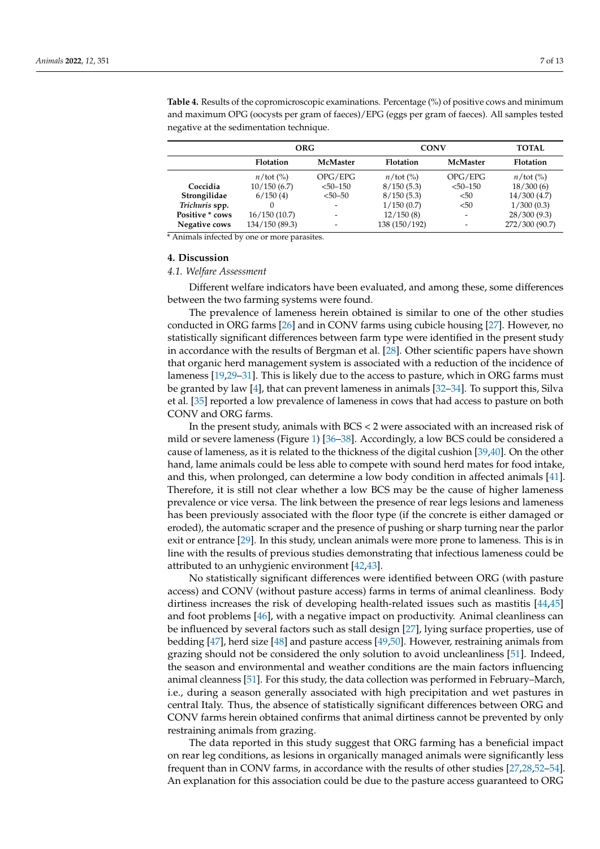|                 | <b>ORG</b>         |              | <b>CONV</b>        |                          | <b>TOTAL</b>                |
|-----------------|--------------------|--------------|--------------------|--------------------------|-----------------------------|
|                 | <b>Flotation</b>   | McMaster     | Flotation          | <b>McMaster</b>          | <b>Flotation</b>            |
|                 | $n/\text{tot}$ (%) | OPG/EPG      | $n/\text{tot}(\%)$ | OPG/EPG                  | $n$ /tot $\left(\% \right)$ |
| Coccidia        | 10/150(6.7)        | $< 50 - 150$ | 8/150(5.3)         | $< 50 - 150$             | 18/300(6)                   |
| Strongilidae    | 6/150(4)           | $< 50 - 50$  | 8/150(5.3)         | $50$                     | 14/300(4.7)                 |
| Trichuris spp.  |                    | -            | 1/150(0.7)         | < 50                     | 1/300(0.3)                  |
| Positive * cows | 16/150(10.7)       | -            | 12/150(8)          | $\overline{\phantom{a}}$ | 28/300(9.3)                 |
| Negative cows   | 134/150(89.3)      | -            | 138 (150/192)      | $\overline{\phantom{0}}$ | 272/300 (90.7)              |

<span id="page-6-0"></span>**Table 4.** Results of the copromicroscopic examinations. Percentage (%) of positive cows and minimum and maximum OPG (oocysts per gram of faeces)/EPG (eggs per gram of faeces). All samples tested negative at the sedimentation technique.

\* Animals infected by one or more parasites.

# **4. Discussion**

## *4.1. Welfare Assessment*

Different welfare indicators have been evaluated, and among these, some differences between the two farming systems were found.

The prevalence of lameness herein obtained is similar to one of the other studies conducted in ORG farms [\[26\]](#page-10-0) and in CONV farms using cubicle housing [\[27\]](#page-10-1). However, no statistically significant differences between farm type were identified in the present study in accordance with the results of Bergman et al. [\[28\]](#page-10-2). Other scientific papers have shown that organic herd management system is associated with a reduction of the incidence of lameness [\[19](#page-9-18)[,29](#page-10-3)[–31\]](#page-10-4). This is likely due to the access to pasture, which in ORG farms must be granted by law [\[4\]](#page-9-3), that can prevent lameness in animals [\[32–](#page-10-5)[34\]](#page-10-6). To support this, Silva et al. [\[35\]](#page-10-7) reported a low prevalence of lameness in cows that had access to pasture on both CONV and ORG farms.

In the present study, animals with BCS < 2 were associated with an increased risk of mild or severe lameness (Figure [1\)](#page-4-1) [\[36](#page-10-8)[–38\]](#page-10-9). Accordingly, a low BCS could be considered a cause of lameness, as it is related to the thickness of the digital cushion [\[39,](#page-10-10)[40\]](#page-10-11). On the other hand, lame animals could be less able to compete with sound herd mates for food intake, and this, when prolonged, can determine a low body condition in affected animals [\[41\]](#page-10-12). Therefore, it is still not clear whether a low BCS may be the cause of higher lameness prevalence or vice versa. The link between the presence of rear legs lesions and lameness has been previously associated with the floor type (if the concrete is either damaged or eroded), the automatic scraper and the presence of pushing or sharp turning near the parlor exit or entrance [\[29\]](#page-10-3). In this study, unclean animals were more prone to lameness. This is in line with the results of previous studies demonstrating that infectious lameness could be attributed to an unhygienic environment [\[42](#page-10-13)[,43\]](#page-10-14).

No statistically significant differences were identified between ORG (with pasture access) and CONV (without pasture access) farms in terms of animal cleanliness. Body dirtiness increases the risk of developing health-related issues such as mastitis [\[44](#page-10-15)[,45\]](#page-10-16) and foot problems [\[46\]](#page-10-17), with a negative impact on productivity. Animal cleanliness can be influenced by several factors such as stall design [\[27\]](#page-10-1), lying surface properties, use of bedding [\[47\]](#page-10-18), herd size [\[48\]](#page-10-19) and pasture access [\[49](#page-10-20)[,50\]](#page-10-21). However, restraining animals from grazing should not be considered the only solution to avoid uncleanliness [\[51\]](#page-10-22). Indeed, the season and environmental and weather conditions are the main factors influencing animal cleanness [\[51\]](#page-10-22). For this study, the data collection was performed in February–March, i.e., during a season generally associated with high precipitation and wet pastures in central Italy. Thus, the absence of statistically significant differences between ORG and CONV farms herein obtained confirms that animal dirtiness cannot be prevented by only restraining animals from grazing.

The data reported in this study suggest that ORG farming has a beneficial impact on rear leg conditions, as lesions in organically managed animals were significantly less frequent than in CONV farms, in accordance with the results of other studies [\[27,](#page-10-1)[28](#page-10-2)[,52](#page-10-23)[–54\]](#page-11-0). An explanation for this association could be due to the pasture access guaranteed to ORG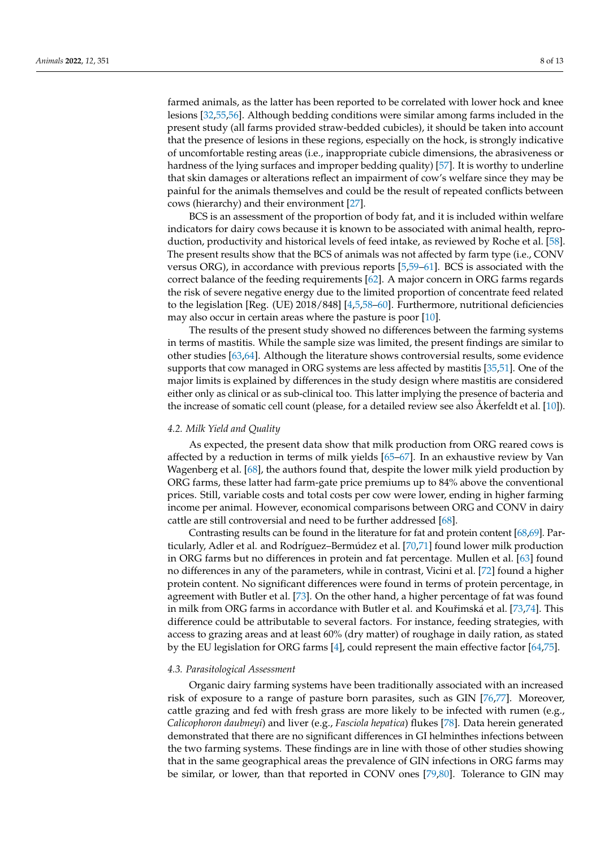farmed animals, as the latter has been reported to be correlated with lower hock and knee lesions [\[32](#page-10-5)[,55](#page-11-1)[,56\]](#page-11-2). Although bedding conditions were similar among farms included in the present study (all farms provided straw-bedded cubicles), it should be taken into account that the presence of lesions in these regions, especially on the hock, is strongly indicative of uncomfortable resting areas (i.e., inappropriate cubicle dimensions, the abrasiveness or hardness of the lying surfaces and improper bedding quality) [\[57\]](#page-11-3). It is worthy to underline that skin damages or alterations reflect an impairment of cow's welfare since they may be painful for the animals themselves and could be the result of repeated conflicts between cows (hierarchy) and their environment [\[27\]](#page-10-1).

BCS is an assessment of the proportion of body fat, and it is included within welfare indicators for dairy cows because it is known to be associated with animal health, reproduction, productivity and historical levels of feed intake, as reviewed by Roche et al. [\[58\]](#page-11-4). The present results show that the BCS of animals was not affected by farm type (i.e., CONV versus ORG), in accordance with previous reports [\[5](#page-9-4)[,59–](#page-11-5)[61\]](#page-11-6). BCS is associated with the correct balance of the feeding requirements [\[62\]](#page-11-7). A major concern in ORG farms regards the risk of severe negative energy due to the limited proportion of concentrate feed related to the legislation [Reg. (UE) 2018/848] [\[4](#page-9-3)[,5](#page-9-4)[,58–](#page-11-4)[60\]](#page-11-8). Furthermore, nutritional deficiencies may also occur in certain areas where the pasture is poor [\[10\]](#page-9-9).

The results of the present study showed no differences between the farming systems in terms of mastitis. While the sample size was limited, the present findings are similar to other studies [\[63,](#page-11-9)[64\]](#page-11-10). Although the literature shows controversial results, some evidence supports that cow managed in ORG systems are less affected by mastitis [\[35,](#page-10-7)[51\]](#page-10-22). One of the major limits is explained by differences in the study design where mastitis are considered either only as clinical or as sub-clinical too. This latter implying the presence of bacteria and the increase of somatic cell count (please, for a detailed review see also Akerfeldt et al. [\[10\]](#page-9-9)).

## *4.2. Milk Yield and Quality*

As expected, the present data show that milk production from ORG reared cows is affected by a reduction in terms of milk yields [\[65](#page-11-11)[–67\]](#page-11-12). In an exhaustive review by Van Wagenberg et al. [\[68\]](#page-11-13), the authors found that, despite the lower milk yield production by ORG farms, these latter had farm-gate price premiums up to 84% above the conventional prices. Still, variable costs and total costs per cow were lower, ending in higher farming income per animal. However, economical comparisons between ORG and CONV in dairy cattle are still controversial and need to be further addressed [\[68\]](#page-11-13).

Contrasting results can be found in the literature for fat and protein content [\[68](#page-11-13)[,69\]](#page-11-14). Particularly, Adler et al. and Rodríguez–Bermúdez et al. [\[70](#page-11-15)[,71\]](#page-11-16) found lower milk production in ORG farms but no differences in protein and fat percentage. Mullen et al. [\[63\]](#page-11-9) found no differences in any of the parameters, while in contrast, Vicini et al. [\[72\]](#page-11-17) found a higher protein content. No significant differences were found in terms of protein percentage, in agreement with Butler et al. [\[73\]](#page-11-18). On the other hand, a higher percentage of fat was found in milk from ORG farms in accordance with Butler et al. and Kouřimská et al. [\[73,](#page-11-18)[74\]](#page-11-19). This difference could be attributable to several factors. For instance, feeding strategies, with access to grazing areas and at least 60% (dry matter) of roughage in daily ration, as stated by the EU legislation for ORG farms [\[4\]](#page-9-3), could represent the main effective factor [\[64,](#page-11-10)[75\]](#page-11-20).

#### *4.3. Parasitological Assessment*

Organic dairy farming systems have been traditionally associated with an increased risk of exposure to a range of pasture born parasites, such as GIN [\[76,](#page-11-21)[77\]](#page-12-0). Moreover, cattle grazing and fed with fresh grass are more likely to be infected with rumen (e.g., *Calicophoron daubneyi*) and liver (e.g., *Fasciola hepatica*) flukes [\[78\]](#page-12-1). Data herein generated demonstrated that there are no significant differences in GI helminthes infections between the two farming systems. These findings are in line with those of other studies showing that in the same geographical areas the prevalence of GIN infections in ORG farms may be similar, or lower, than that reported in CONV ones [\[79](#page-12-2)[,80\]](#page-12-3). Tolerance to GIN may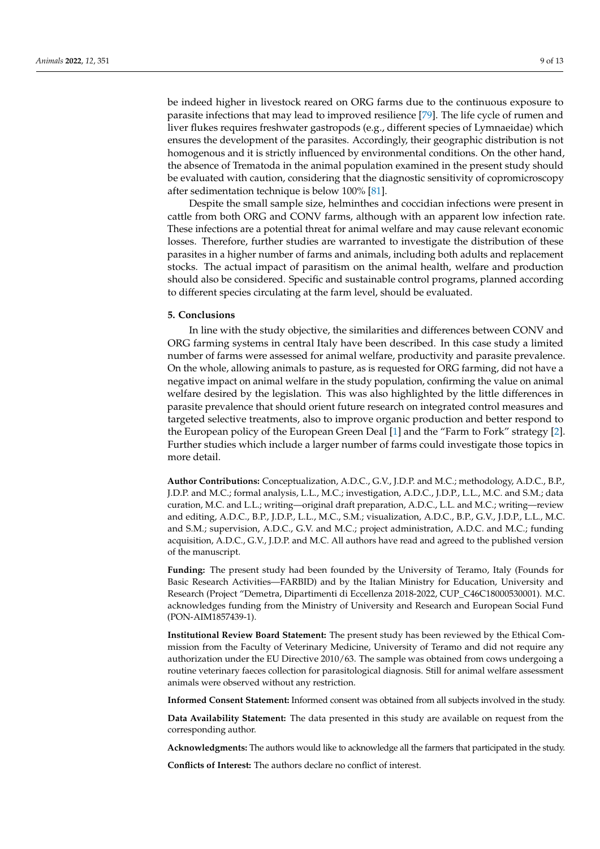be indeed higher in livestock reared on ORG farms due to the continuous exposure to parasite infections that may lead to improved resilience [\[79\]](#page-12-2). The life cycle of rumen and liver flukes requires freshwater gastropods (e.g., different species of Lymnaeidae) which ensures the development of the parasites. Accordingly, their geographic distribution is not homogenous and it is strictly influenced by environmental conditions. On the other hand, the absence of Trematoda in the animal population examined in the present study should be evaluated with caution, considering that the diagnostic sensitivity of copromicroscopy after sedimentation technique is below 100% [\[81\]](#page-12-4).

Despite the small sample size, helminthes and coccidian infections were present in cattle from both ORG and CONV farms, although with an apparent low infection rate. These infections are a potential threat for animal welfare and may cause relevant economic losses. Therefore, further studies are warranted to investigate the distribution of these parasites in a higher number of farms and animals, including both adults and replacement stocks. The actual impact of parasitism on the animal health, welfare and production should also be considered. Specific and sustainable control programs, planned according to different species circulating at the farm level, should be evaluated.

## **5. Conclusions**

In line with the study objective, the similarities and differences between CONV and ORG farming systems in central Italy have been described. In this case study a limited number of farms were assessed for animal welfare, productivity and parasite prevalence. On the whole, allowing animals to pasture, as is requested for ORG farming, did not have a negative impact on animal welfare in the study population, confirming the value on animal welfare desired by the legislation. This was also highlighted by the little differences in parasite prevalence that should orient future research on integrated control measures and targeted selective treatments, also to improve organic production and better respond to the European policy of the European Green Deal [\[1\]](#page-9-0) and the "Farm to Fork" strategy [\[2\]](#page-9-1). Further studies which include a larger number of farms could investigate those topics in more detail.

**Author Contributions:** Conceptualization, A.D.C., G.V., J.D.P. and M.C.; methodology, A.D.C., B.P., J.D.P. and M.C.; formal analysis, L.L., M.C.; investigation, A.D.C., J.D.P., L.L., M.C. and S.M.; data curation, M.C. and L.L.; writing—original draft preparation, A.D.C., L.L. and M.C.; writing—review and editing, A.D.C., B.P., J.D.P., L.L., M.C., S.M.; visualization, A.D.C., B.P., G.V., J.D.P., L.L., M.C. and S.M.; supervision, A.D.C., G.V. and M.C.; project administration, A.D.C. and M.C.; funding acquisition, A.D.C., G.V., J.D.P. and M.C. All authors have read and agreed to the published version of the manuscript.

**Funding:** The present study had been founded by the University of Teramo, Italy (Founds for Basic Research Activities—FARBID) and by the Italian Ministry for Education, University and Research (Project "Demetra, Dipartimenti di Eccellenza 2018-2022, CUP\_C46C18000530001). M.C. acknowledges funding from the Ministry of University and Research and European Social Fund (PON-AIM1857439-1).

**Institutional Review Board Statement:** The present study has been reviewed by the Ethical Commission from the Faculty of Veterinary Medicine, University of Teramo and did not require any authorization under the EU Directive 2010/63. The sample was obtained from cows undergoing a routine veterinary faeces collection for parasitological diagnosis. Still for animal welfare assessment animals were observed without any restriction.

**Informed Consent Statement:** Informed consent was obtained from all subjects involved in the study.

**Data Availability Statement:** The data presented in this study are available on request from the corresponding author.

**Acknowledgments:** The authors would like to acknowledge all the farmers that participated in the study.

**Conflicts of Interest:** The authors declare no conflict of interest.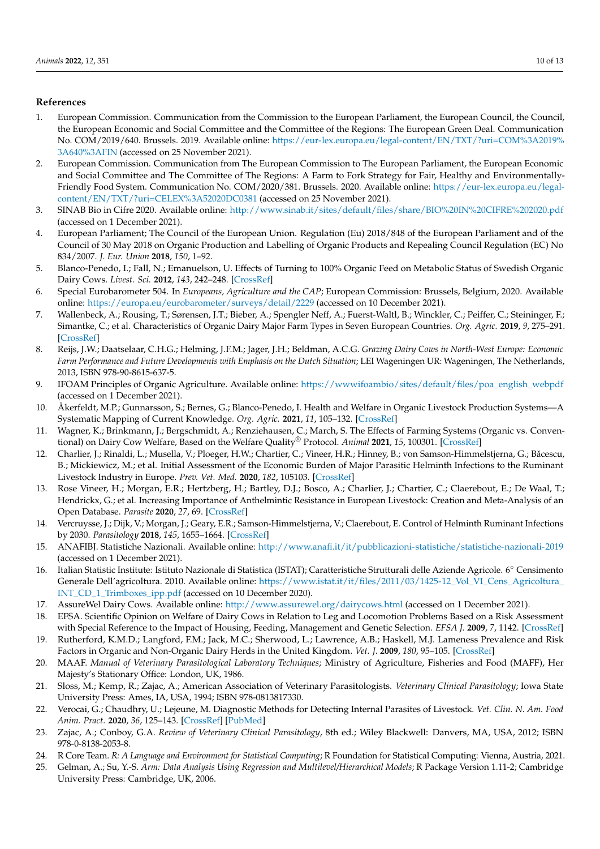## **References**

- <span id="page-9-0"></span>1. European Commission. Communication from the Commission to the European Parliament, the European Council, the Council, the European Economic and Social Committee and the Committee of the Regions: The European Green Deal. Communication No. COM/2019/640. Brussels. 2019. Available online: [https://eur-lex.europa.eu/legal-content/EN/TXT/?uri=COM%3A2019%](https://eur-lex.europa.eu/legal-content/EN/TXT/?uri=COM%3A2019%3A640%3AFIN) [3A640%3AFIN](https://eur-lex.europa.eu/legal-content/EN/TXT/?uri=COM%3A2019%3A640%3AFIN) (accessed on 25 November 2021).
- <span id="page-9-1"></span>2. European Commission. Communication from The European Commission to The European Parliament, the European Economic and Social Committee and The Committee of The Regions: A Farm to Fork Strategy for Fair, Healthy and Environmentally-Friendly Food System. Communication No. COM/2020/381. Brussels. 2020. Available online: [https://eur-lex.europa.eu/legal](https://eur-lex.europa.eu/legal-content/EN/TXT/?uri=CELEX%3A52020DC0381)[content/EN/TXT/?uri=CELEX%3A52020DC0381](https://eur-lex.europa.eu/legal-content/EN/TXT/?uri=CELEX%3A52020DC0381) (accessed on 25 November 2021).
- <span id="page-9-2"></span>3. SINAB Bio in Cifre 2020. Available online: <http://www.sinab.it/sites/default/files/share/BIO%20IN%20CIFRE%202020.pdf> (accessed on 1 December 2021).
- <span id="page-9-3"></span>4. European Parliament; The Council of the European Union. Regulation (Eu) 2018/848 of the European Parliament and of the Council of 30 May 2018 on Organic Production and Labelling of Organic Products and Repealing Council Regulation (EC) No 834/2007. *J. Eur. Union* **2018**, *150*, 1–92.
- <span id="page-9-4"></span>5. Blanco-Penedo, I.; Fall, N.; Emanuelson, U. Effects of Turning to 100% Organic Feed on Metabolic Status of Swedish Organic Dairy Cows. *Livest. Sci.* **2012**, *143*, 242–248. [\[CrossRef\]](http://doi.org/10.1016/j.livsci.2011.09.023)
- <span id="page-9-5"></span>6. Special Eurobarometer 504. In *Europeans, Agriculture and the CAP*; European Commission: Brussels, Belgium, 2020. Available online: <https://europa.eu/eurobarometer/surveys/detail/2229> (accessed on 10 December 2021).
- <span id="page-9-6"></span>7. Wallenbeck, A.; Rousing, T.; Sørensen, J.T.; Bieber, A.; Spengler Neff, A.; Fuerst-Waltl, B.; Winckler, C.; Peiffer, C.; Steininger, F.; Simantke, C.; et al. Characteristics of Organic Dairy Major Farm Types in Seven European Countries. *Org. Agric.* **2019**, *9*, 275–291. [\[CrossRef\]](http://doi.org/10.1007/s13165-018-0227-9)
- <span id="page-9-7"></span>8. Reijs, J.W.; Daatselaar, C.H.G.; Helming, J.F.M.; Jager, J.H.; Beldman, A.C.G. *Grazing Dairy Cows in North-West Europe: Economic* Farm Performance and Future Developments with Emphasis on the Dutch Situation; LEI Wageningen UR: Wageningen, The Netherlands, 2013, ISBN 978-90-8615-637-5.
- <span id="page-9-8"></span>9. IFOAM Principles of Organic Agriculture. Available online: [https://wwwifoambio/sites/default/files/poa\\_english\\_webpdf](https://wwwifoambio/sites/default/files/poa_english_webpdf) (accessed on 1 December 2021).
- <span id="page-9-9"></span>10. Åkerfeldt, M.P.; Gunnarsson, S.; Bernes, G.; Blanco-Penedo, I. Health and Welfare in Organic Livestock Production Systems—A Systematic Mapping of Current Knowledge. *Org. Agric.* **2021**, *11*, 105–132. [\[CrossRef\]](http://doi.org/10.1007/s13165-020-00334-y)
- <span id="page-9-10"></span>11. Wagner, K.; Brinkmann, J.; Bergschmidt, A.; Renziehausen, C.; March, S. The Effects of Farming Systems (Organic vs. Conventional) on Dairy Cow Welfare, Based on the Welfare Quality® Protocol. *Animal* **2021**, *15*, 100301. [\[CrossRef\]](http://doi.org/10.1016/j.animal.2021.100301)
- <span id="page-9-11"></span>12. Charlier, J.; Rinaldi, L.; Musella, V.; Ploeger, H.W.; Chartier, C.; Vineer, H.R.; Hinney, B.; von Samson-Himmelstjerna, G.; Băcescu, B.; Mickiewicz, M.; et al. Initial Assessment of the Economic Burden of Major Parasitic Helminth Infections to the Ruminant Livestock Industry in Europe. *Prev. Vet. Med.* **2020**, *182*, 105103. [\[CrossRef\]](http://doi.org/10.1016/j.prevetmed.2020.105103)
- <span id="page-9-12"></span>13. Rose Vineer, H.; Morgan, E.R.; Hertzberg, H.; Bartley, D.J.; Bosco, A.; Charlier, J.; Chartier, C.; Claerebout, E.; De Waal, T.; Hendrickx, G.; et al. Increasing Importance of Anthelmintic Resistance in European Livestock: Creation and Meta-Analysis of an Open Database. *Parasite* **2020**, *27*, 69. [\[CrossRef\]](http://doi.org/10.1051/parasite/2020062)
- <span id="page-9-13"></span>14. Vercruysse, J.; Dijk, V.; Morgan, J.; Geary, E.R.; Samson-Himmelstjerna, V.; Claerebout, E. Control of Helminth Ruminant Infections by 2030. *Parasitology* **2018**, *145*, 1655–1664. [\[CrossRef\]](http://doi.org/10.1017/S003118201700227X)
- <span id="page-9-14"></span>15. ANAFIBJ. Statistiche Nazionali. Available online: <http://www.anafi.it/it/pubblicazioni-statistiche/statistiche-nazionali-2019> (accessed on 1 December 2021).
- <span id="page-9-15"></span>16. Italian Statistic Institute: Istituto Nazionale di Statistica (ISTAT); Caratteristiche Strutturali delle Aziende Agricole. 6◦ Censimento Generale Dell'agricoltura. 2010. Available online: [https://www.istat.it/it/files/2011/03/1425-12\\_Vol\\_VI\\_Cens\\_Agricoltura\\_](https://www.istat.it/it/files/2011/03/1425-12_Vol_VI_Cens_Agricoltura_INT_CD_1_Trimboxes_ipp.pdf) [INT\\_CD\\_1\\_Trimboxes\\_ipp.pdf](https://www.istat.it/it/files/2011/03/1425-12_Vol_VI_Cens_Agricoltura_INT_CD_1_Trimboxes_ipp.pdf) (accessed on 10 December 2020).
- <span id="page-9-16"></span>17. AssureWel Dairy Cows. Available online: <http://www.assurewel.org/dairycows.html> (accessed on 1 December 2021).
- <span id="page-9-17"></span>18. EFSA. Scientific Opinion on Welfare of Dairy Cows in Relation to Leg and Locomotion Problems Based on a Risk Assessment with Special Reference to the Impact of Housing, Feeding, Management and Genetic Selection. *EFSA J.* **2009**, *7*, 1142. [\[CrossRef\]](http://doi.org/10.2903/j.efsa.2009.1142)
- <span id="page-9-18"></span>19. Rutherford, K.M.D.; Langford, F.M.; Jack, M.C.; Sherwood, L.; Lawrence, A.B.; Haskell, M.J. Lameness Prevalence and Risk Factors in Organic and Non-Organic Dairy Herds in the United Kingdom. *Vet. J.* **2009**, *180*, 95–105. [\[CrossRef\]](http://doi.org/10.1016/j.tvjl.2008.03.015)
- <span id="page-9-19"></span>20. MAAF. *Manual of Veterinary Parasitological Laboratory Techniques*; Ministry of Agriculture, Fisheries and Food (MAFF), Her Majesty's Stationary Office: London, UK, 1986.
- <span id="page-9-20"></span>21. Sloss, M.; Kemp, R.; Zajac, A.; American Association of Veterinary Parasitologists. *Veterinary Clinical Parasitology*; Iowa State University Press: Ames, IA, USA, 1994; ISBN 978-0813817330.
- <span id="page-9-21"></span>22. Verocai, G.; Chaudhry, U.; Lejeune, M. Diagnostic Methods for Detecting Internal Parasites of Livestock. *Vet. Clin. N. Am. Food Anim. Pract.* **2020**, *36*, 125–143. [\[CrossRef\]](http://doi.org/10.1016/j.cvfa.2019.12.003) [\[PubMed\]](http://www.ncbi.nlm.nih.gov/pubmed/32029179)
- <span id="page-9-22"></span>23. Zajac, A.; Conboy, G.A. *Review of Veterinary Clinical Parasitology*, 8th ed.; Wiley Blackwell: Danvers, MA, USA, 2012; ISBN 978-0-8138-2053-8.
- <span id="page-9-23"></span>24. R Core Team. *R: A Language and Environment for Statistical Computing*; R Foundation for Statistical Computing: Vienna, Austria, 2021.
- <span id="page-9-24"></span>25. Gelman, A.; Su, Y.-S. Arm: Data Analysis Using Regression and Multilevel/Hierarchical Models; R Package Version 1.11-2; Cambridge University Press: Cambridge, UK, 2006.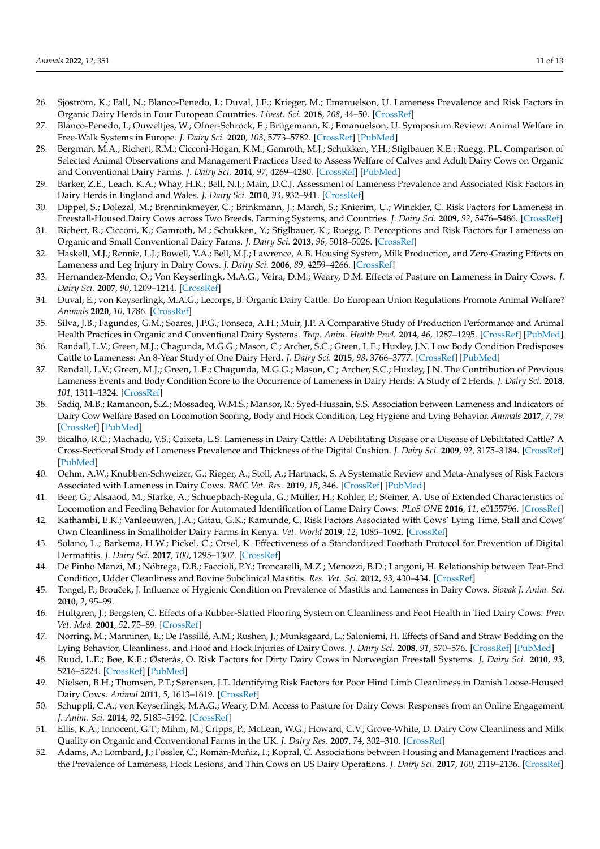- <span id="page-10-0"></span>26. Sjöström, K.; Fall, N.; Blanco-Penedo, I.; Duval, J.E.; Krieger, M.; Emanuelson, U. Lameness Prevalence and Risk Factors in Organic Dairy Herds in Four European Countries. *Livest. Sci.* **2018**, *208*, 44–50. [\[CrossRef\]](http://doi.org/10.1016/j.livsci.2017.12.009)
- <span id="page-10-1"></span>27. Blanco-Penedo, I.; Ouweltjes, W.; Ofner-Schröck, E.; Brügemann, K.; Emanuelson, U. Symposium Review: Animal Welfare in Free-Walk Systems in Europe. *J. Dairy Sci.* **2020**, *103*, 5773–5782. [\[CrossRef\]](http://doi.org/10.3168/jds.2019-17315) [\[PubMed\]](http://www.ncbi.nlm.nih.gov/pubmed/32089316)
- <span id="page-10-2"></span>28. Bergman, M.A.; Richert, R.M.; Cicconi-Hogan, K.M.; Gamroth, M.J.; Schukken, Y.H.; Stiglbauer, K.E.; Ruegg, P.L. Comparison of Selected Animal Observations and Management Practices Used to Assess Welfare of Calves and Adult Dairy Cows on Organic and Conventional Dairy Farms. *J. Dairy Sci.* **2014**, *97*, 4269–4280. [\[CrossRef\]](http://doi.org/10.3168/jds.2013-7766) [\[PubMed\]](http://www.ncbi.nlm.nih.gov/pubmed/24819133)
- <span id="page-10-3"></span>29. Barker, Z.E.; Leach, K.A.; Whay, H.R.; Bell, N.J.; Main, D.C.J. Assessment of Lameness Prevalence and Associated Risk Factors in Dairy Herds in England and Wales. *J. Dairy Sci.* **2010**, *93*, 932–941. [\[CrossRef\]](http://doi.org/10.3168/jds.2009-2309)
- 30. Dippel, S.; Dolezal, M.; Brenninkmeyer, C.; Brinkmann, J.; March, S.; Knierim, U.; Winckler, C. Risk Factors for Lameness in Freestall-Housed Dairy Cows across Two Breeds, Farming Systems, and Countries. *J. Dairy Sci.* **2009**, *92*, 5476–5486. [\[CrossRef\]](http://doi.org/10.3168/jds.2009-2288)
- <span id="page-10-4"></span>31. Richert, R.; Cicconi, K.; Gamroth, M.; Schukken, Y.; Stiglbauer, K.; Ruegg, P. Perceptions and Risk Factors for Lameness on Organic and Small Conventional Dairy Farms. *J. Dairy Sci.* **2013**, *96*, 5018–5026. [\[CrossRef\]](http://doi.org/10.3168/jds.2012-6257)
- <span id="page-10-5"></span>32. Haskell, M.J.; Rennie, L.J.; Bowell, V.A.; Bell, M.J.; Lawrence, A.B. Housing System, Milk Production, and Zero-Grazing Effects on Lameness and Leg Injury in Dairy Cows. *J. Dairy Sci.* **2006**, *89*, 4259–4266. [\[CrossRef\]](http://doi.org/10.3168/jds.S0022-0302(06)72472-9)
- 33. Hernandez-Mendo, O.; Von Keyserlingk, M.A.G.; Veira, D.M.; Weary, D.M. Effects of Pasture on Lameness in Dairy Cows. *J. Dairy Sci.* **2007**, *90*, 1209–1214. [\[CrossRef\]](http://doi.org/10.3168/jds.S0022-0302(07)71608-9)
- <span id="page-10-6"></span>34. Duval, E.; von Keyserlingk, M.A.G.; Lecorps, B. Organic Dairy Cattle: Do European Union Regulations Promote Animal Welfare? *Animals* **2020**, *10*, 1786. [\[CrossRef\]](http://doi.org/10.3390/ani10101786)
- <span id="page-10-7"></span>35. Silva, J.B.; Fagundes, G.M.; Soares, J.P.G.; Fonseca, A.H.; Muir, J.P. A Comparative Study of Production Performance and Animal Health Practices in Organic and Conventional Dairy Systems. *Trop. Anim. Health Prod.* **2014**, *46*, 1287–1295. [\[CrossRef\]](http://doi.org/10.1007/s11250-014-0642-1) [\[PubMed\]](http://www.ncbi.nlm.nih.gov/pubmed/25015183)
- <span id="page-10-8"></span>36. Randall, L.V.; Green, M.J.; Chagunda, M.G.G.; Mason, C.; Archer, S.C.; Green, L.E.; Huxley, J.N. Low Body Condition Predisposes Cattle to Lameness: An 8-Year Study of One Dairy Herd. *J. Dairy Sci.* **2015**, *98*, 3766–3777. [\[CrossRef\]](http://doi.org/10.3168/jds.2014-8863) [\[PubMed\]](http://www.ncbi.nlm.nih.gov/pubmed/25828666)
- 37. Randall, L.V.; Green, M.J.; Green, L.E.; Chagunda, M.G.G.; Mason, C.; Archer, S.C.; Huxley, J.N. The Contribution of Previous Lameness Events and Body Condition Score to the Occurrence of Lameness in Dairy Herds: A Study of 2 Herds. *J. Dairy Sci.* **2018**, *101*, 1311–1324. [\[CrossRef\]](http://doi.org/10.3168/jds.2017-13439)
- <span id="page-10-9"></span>38. Sadiq, M.B.; Ramanoon, S.Z.; Mossadeq, W.M.S.; Mansor, R.; Syed-Hussain, S.S. Association between Lameness and Indicators of Dairy Cow Welfare Based on Locomotion Scoring, Body and Hock Condition, Leg Hygiene and Lying Behavior. *Animals* **2017**, *7*, 79. [\[CrossRef\]](http://doi.org/10.3390/ani7110079) [\[PubMed\]](http://www.ncbi.nlm.nih.gov/pubmed/29113033)
- <span id="page-10-10"></span>39. Bicalho, R.C.; Machado, V.S.; Caixeta, L.S. Lameness in Dairy Cattle: A Debilitating Disease or a Disease of Debilitated Cattle? A Cross-Sectional Study of Lameness Prevalence and Thickness of the Digital Cushion. *J. Dairy Sci.* **2009**, *92*, 3175–3184. [\[CrossRef\]](http://doi.org/10.3168/jds.2008-1827) [\[PubMed\]](http://www.ncbi.nlm.nih.gov/pubmed/19757545)
- <span id="page-10-11"></span>40. Oehm, A.W.; Knubben-Schweizer, G.; Rieger, A.; Stoll, A.; Hartnack, S. A Systematic Review and Meta-Analyses of Risk Factors Associated with Lameness in Dairy Cows. *BMC Vet. Res.* **2019**, *15*, 346. [\[CrossRef\]](http://doi.org/10.1186/s12917-019-2095-2) [\[PubMed\]](http://www.ncbi.nlm.nih.gov/pubmed/31619239)
- <span id="page-10-12"></span>41. Beer, G.; Alsaaod, M.; Starke, A.; Schuepbach-Regula, G.; Müller, H.; Kohler, P.; Steiner, A. Use of Extended Characteristics of Locomotion and Feeding Behavior for Automated Identification of Lame Dairy Cows. *PLoS ONE* **2016**, *11*, e0155796. [\[CrossRef\]](http://doi.org/10.1371/journal.pone.0155796)
- <span id="page-10-13"></span>42. Kathambi, E.K.; Vanleeuwen, J.A.; Gitau, G.K.; Kamunde, C. Risk Factors Associated with Cows' Lying Time, Stall and Cows' Own Cleanliness in Smallholder Dairy Farms in Kenya. *Vet. World* **2019**, *12*, 1085–1092. [\[CrossRef\]](http://doi.org/10.14202/vetworld.2019.1085-1092)
- <span id="page-10-14"></span>43. Solano, L.; Barkema, H.W.; Pickel, C.; Orsel, K. Effectiveness of a Standardized Footbath Protocol for Prevention of Digital Dermatitis. *J. Dairy Sci.* **2017**, *100*, 1295–1307. [\[CrossRef\]](http://doi.org/10.3168/jds.2016-11464)
- <span id="page-10-15"></span>44. De Pinho Manzi, M.; Nóbrega, D.B.; Faccioli, P.Y.; Troncarelli, M.Z.; Menozzi, B.D.; Langoni, H. Relationship between Teat-End Condition, Udder Cleanliness and Bovine Subclinical Mastitis. *Res. Vet. Sci.* **2012**, *93*, 430–434. [\[CrossRef\]](http://doi.org/10.1016/j.rvsc.2011.05.010)
- <span id="page-10-16"></span>45. Tongel, P.; Brouček, J. Influence of Hygienic Condition on Prevalence of Mastitis and Lameness in Dairy Cows. *Slovak J. Anim. Sci.* **2010**, *2*, 95–99.
- <span id="page-10-17"></span>46. Hultgren, J.; Bergsten, C. Effects of a Rubber-Slatted Flooring System on Cleanliness and Foot Health in Tied Dairy Cows. *Prev. Vet. Med.* **2001**, *52*, 75–89. [\[CrossRef\]](http://doi.org/10.1016/S0167-5877(01)00237-9)
- <span id="page-10-18"></span>47. Norring, M.; Manninen, E.; De Passillé, A.M.; Rushen, J.; Munksgaard, L.; Saloniemi, H. Effects of Sand and Straw Bedding on the Lying Behavior, Cleanliness, and Hoof and Hock Injuries of Dairy Cows. *J. Dairy Sci.* **2008**, *91*, 570–576. [\[CrossRef\]](http://doi.org/10.3168/jds.2007-0452) [\[PubMed\]](http://www.ncbi.nlm.nih.gov/pubmed/18218743)
- <span id="page-10-19"></span>48. Ruud, L.E.; Bøe, K.E.; Østerås, O. Risk Factors for Dirty Dairy Cows in Norwegian Freestall Systems. *J. Dairy Sci.* **2010**, *93*, 5216–5224. [\[CrossRef\]](http://doi.org/10.3168/jds.2010-3321) [\[PubMed\]](http://www.ncbi.nlm.nih.gov/pubmed/20965336)
- <span id="page-10-20"></span>49. Nielsen, B.H.; Thomsen, P.T.; Sørensen, J.T. Identifying Risk Factors for Poor Hind Limb Cleanliness in Danish Loose-Housed Dairy Cows. *Animal* **2011**, *5*, 1613–1619. [\[CrossRef\]](http://doi.org/10.1017/S1751731111000905)
- <span id="page-10-21"></span>50. Schuppli, C.A.; von Keyserlingk, M.A.G.; Weary, D.M. Access to Pasture for Dairy Cows: Responses from an Online Engagement. *J. Anim. Sci.* **2014**, *92*, 5185–5192. [\[CrossRef\]](http://doi.org/10.2527/jas.2014-7725)
- <span id="page-10-22"></span>51. Ellis, K.A.; Innocent, G.T.; Mihm, M.; Cripps, P.; McLean, W.G.; Howard, C.V.; Grove-White, D. Dairy Cow Cleanliness and Milk Quality on Organic and Conventional Farms in the UK. *J. Dairy Res.* **2007**, *74*, 302–310. [\[CrossRef\]](http://doi.org/10.1017/S002202990700249X)
- <span id="page-10-23"></span>52. Adams, A.; Lombard, J.; Fossler, C.; Román-Muñiz, I.; Kopral, C. Associations between Housing and Management Practices and the Prevalence of Lameness, Hock Lesions, and Thin Cows on US Dairy Operations. *J. Dairy Sci.* **2017**, *100*, 2119–2136. [\[CrossRef\]](http://doi.org/10.3168/jds.2016-11517)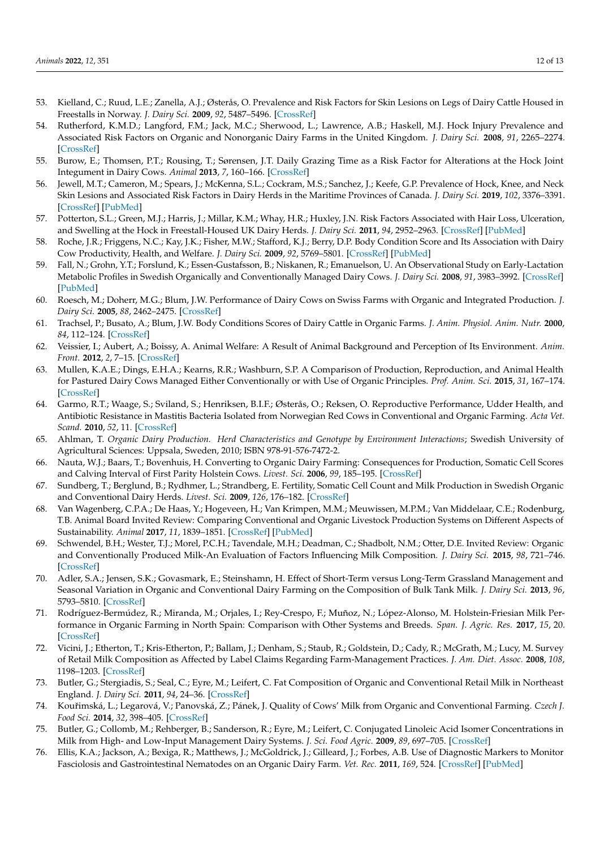- 53. Kielland, C.; Ruud, L.E.; Zanella, A.J.; Østerås, O. Prevalence and Risk Factors for Skin Lesions on Legs of Dairy Cattle Housed in Freestalls in Norway. *J. Dairy Sci.* **2009**, *92*, 5487–5496. [\[CrossRef\]](http://doi.org/10.3168/jds.2009-2293)
- <span id="page-11-0"></span>54. Rutherford, K.M.D.; Langford, F.M.; Jack, M.C.; Sherwood, L.; Lawrence, A.B.; Haskell, M.J. Hock Injury Prevalence and Associated Risk Factors on Organic and Nonorganic Dairy Farms in the United Kingdom. *J. Dairy Sci.* **2008**, *91*, 2265–2274. [\[CrossRef\]](http://doi.org/10.3168/jds.2007-0847)
- <span id="page-11-1"></span>55. Burow, E.; Thomsen, P.T.; Rousing, T.; Sørensen, J.T. Daily Grazing Time as a Risk Factor for Alterations at the Hock Joint Integument in Dairy Cows. *Animal* **2013**, *7*, 160–166. [\[CrossRef\]](http://doi.org/10.1017/S1751731112001395)
- <span id="page-11-2"></span>56. Jewell, M.T.; Cameron, M.; Spears, J.; McKenna, S.L.; Cockram, M.S.; Sanchez, J.; Keefe, G.P. Prevalence of Hock, Knee, and Neck Skin Lesions and Associated Risk Factors in Dairy Herds in the Maritime Provinces of Canada. *J. Dairy Sci.* **2019**, *102*, 3376–3391. [\[CrossRef\]](http://doi.org/10.3168/jds.2018-15080) [\[PubMed\]](http://www.ncbi.nlm.nih.gov/pubmed/30738676)
- <span id="page-11-3"></span>57. Potterton, S.L.; Green, M.J.; Harris, J.; Millar, K.M.; Whay, H.R.; Huxley, J.N. Risk Factors Associated with Hair Loss, Ulceration, and Swelling at the Hock in Freestall-Housed UK Dairy Herds. *J. Dairy Sci.* **2011**, *94*, 2952–2963. [\[CrossRef\]](http://doi.org/10.3168/jds.2010-4084) [\[PubMed\]](http://www.ncbi.nlm.nih.gov/pubmed/21605765)
- <span id="page-11-4"></span>58. Roche, J.R.; Friggens, N.C.; Kay, J.K.; Fisher, M.W.; Stafford, K.J.; Berry, D.P. Body Condition Score and Its Association with Dairy Cow Productivity, Health, and Welfare. *J. Dairy Sci.* **2009**, *92*, 5769–5801. [\[CrossRef\]](http://doi.org/10.3168/jds.2009-2431) [\[PubMed\]](http://www.ncbi.nlm.nih.gov/pubmed/19923585)
- <span id="page-11-5"></span>59. Fall, N.; Grohn, Y.T.; Forslund, K.; Essen-Gustafsson, B.; Niskanen, R.; Emanuelson, U. An Observational Study on Early-Lactation Metabolic Profiles in Swedish Organically and Conventionally Managed Dairy Cows. *J. Dairy Sci.* **2008**, *91*, 3983–3992. [\[CrossRef\]](http://doi.org/10.3168/jds.2008-1099) [\[PubMed\]](http://www.ncbi.nlm.nih.gov/pubmed/18832222)
- <span id="page-11-8"></span>60. Roesch, M.; Doherr, M.G.; Blum, J.W. Performance of Dairy Cows on Swiss Farms with Organic and Integrated Production. *J. Dairy Sci.* **2005**, *88*, 2462–2475. [\[CrossRef\]](http://doi.org/10.3168/jds.S0022-0302(05)72924-6)
- <span id="page-11-6"></span>61. Trachsel, P.; Busato, A.; Blum, J.W. Body Conditions Scores of Dairy Cattle in Organic Farms. *J. Anim. Physiol. Anim. Nutr.* **2000**, *84*, 112–124. [\[CrossRef\]](http://doi.org/10.1046/j.1439-0396.2000.00289.x)
- <span id="page-11-7"></span>62. Veissier, I.; Aubert, A.; Boissy, A. Animal Welfare: A Result of Animal Background and Perception of Its Environment. *Anim. Front.* **2012**, *2*, 7–15. [\[CrossRef\]](http://doi.org/10.2527/af.2012-0043)
- <span id="page-11-9"></span>63. Mullen, K.A.E.; Dings, E.H.A.; Kearns, R.R.; Washburn, S.P. A Comparison of Production, Reproduction, and Animal Health for Pastured Dairy Cows Managed Either Conventionally or with Use of Organic Principles. *Prof. Anim. Sci.* **2015**, *31*, 167–174. [\[CrossRef\]](http://doi.org/10.15232/pas.2014-01367)
- <span id="page-11-10"></span>64. Garmo, R.T.; Waage, S.; Sviland, S.; Henriksen, B.I.F.; Østerås, O.; Reksen, O. Reproductive Performance, Udder Health, and Antibiotic Resistance in Mastitis Bacteria Isolated from Norwegian Red Cows in Conventional and Organic Farming. *Acta Vet. Scand.* **2010**, *52*, 11. [\[CrossRef\]](http://doi.org/10.1186/1751-0147-52-11)
- <span id="page-11-11"></span>65. Ahlman, T. *Organic Dairy Production. Herd Characteristics and Genotype by Environment Interactions*; Swedish University of Agricultural Sciences: Uppsala, Sweden, 2010; ISBN 978-91-576-7472-2.
- 66. Nauta, W.J.; Baars, T.; Bovenhuis, H. Converting to Organic Dairy Farming: Consequences for Production, Somatic Cell Scores and Calving Interval of First Parity Holstein Cows. *Livest. Sci.* **2006**, *99*, 185–195. [\[CrossRef\]](http://doi.org/10.1016/j.livprodsci.2005.06.013)
- <span id="page-11-12"></span>67. Sundberg, T.; Berglund, B.; Rydhmer, L.; Strandberg, E. Fertility, Somatic Cell Count and Milk Production in Swedish Organic and Conventional Dairy Herds. *Livest. Sci.* **2009**, *126*, 176–182. [\[CrossRef\]](http://doi.org/10.1016/j.livsci.2009.06.022)
- <span id="page-11-13"></span>68. Van Wagenberg, C.P.A.; De Haas, Y.; Hogeveen, H.; Van Krimpen, M.M.; Meuwissen, M.P.M.; Van Middelaar, C.E.; Rodenburg, T.B. Animal Board Invited Review: Comparing Conventional and Organic Livestock Production Systems on Different Aspects of Sustainability. *Animal* **2017**, *11*, 1839–1851. [\[CrossRef\]](http://doi.org/10.1017/S175173111700115X) [\[PubMed\]](http://www.ncbi.nlm.nih.gov/pubmed/28558861)
- <span id="page-11-14"></span>69. Schwendel, B.H.; Wester, T.J.; Morel, P.C.H.; Tavendale, M.H.; Deadman, C.; Shadbolt, N.M.; Otter, D.E. Invited Review: Organic and Conventionally Produced Milk-An Evaluation of Factors Influencing Milk Composition. *J. Dairy Sci.* **2015**, *98*, 721–746. [\[CrossRef\]](http://doi.org/10.3168/jds.2014-8389)
- <span id="page-11-15"></span>70. Adler, S.A.; Jensen, S.K.; Govasmark, E.; Steinshamn, H. Effect of Short-Term versus Long-Term Grassland Management and Seasonal Variation in Organic and Conventional Dairy Farming on the Composition of Bulk Tank Milk. *J. Dairy Sci.* **2013**, *96*, 5793–5810. [\[CrossRef\]](http://doi.org/10.3168/jds.2012-5765)
- <span id="page-11-16"></span>71. Rodríguez-Bermúdez, R.; Miranda, M.; Orjales, I.; Rey-Crespo, F.; Muñoz, N.; López-Alonso, M. Holstein-Friesian Milk Performance in Organic Farming in North Spain: Comparison with Other Systems and Breeds. *Span. J. Agric. Res.* **2017**, *15*, 20. [\[CrossRef\]](http://doi.org/10.5424/sjar/2017151-10037)
- <span id="page-11-17"></span>72. Vicini, J.; Etherton, T.; Kris-Etherton, P.; Ballam, J.; Denham, S.; Staub, R.; Goldstein, D.; Cady, R.; McGrath, M.; Lucy, M. Survey of Retail Milk Composition as Affected by Label Claims Regarding Farm-Management Practices. *J. Am. Diet. Assoc.* **2008**, *108*, 1198–1203. [\[CrossRef\]](http://doi.org/10.1016/j.jada.2008.04.021)
- <span id="page-11-18"></span>73. Butler, G.; Stergiadis, S.; Seal, C.; Eyre, M.; Leifert, C. Fat Composition of Organic and Conventional Retail Milk in Northeast England. *J. Dairy Sci.* **2011**, *94*, 24–36. [\[CrossRef\]](http://doi.org/10.3168/jds.2010-3331)
- <span id="page-11-19"></span>74. Kouřimská, L.; Legarová, V.; Panovská, Z.; Pánek, J. Quality of Cows' Milk from Organic and Conventional Farming. *Czech J. Food Sci.* **2014**, *32*, 398–405. [\[CrossRef\]](http://doi.org/10.17221/510/2012-CJFS)
- <span id="page-11-20"></span>75. Butler, G.; Collomb, M.; Rehberger, B.; Sanderson, R.; Eyre, M.; Leifert, C. Conjugated Linoleic Acid Isomer Concentrations in Milk from High- and Low-Input Management Dairy Systems. *J. Sci. Food Agric.* **2009**, *89*, 697–705. [\[CrossRef\]](http://doi.org/10.1002/jsfa.3504)
- <span id="page-11-21"></span>76. Ellis, K.A.; Jackson, A.; Bexiga, R.; Matthews, J.; McGoldrick, J.; Gilleard, J.; Forbes, A.B. Use of Diagnostic Markers to Monitor Fasciolosis and Gastrointestinal Nematodes on an Organic Dairy Farm. *Vet. Rec.* **2011**, *169*, 524. [\[CrossRef\]](http://doi.org/10.1136/vr.d5021) [\[PubMed\]](http://www.ncbi.nlm.nih.gov/pubmed/21908552)